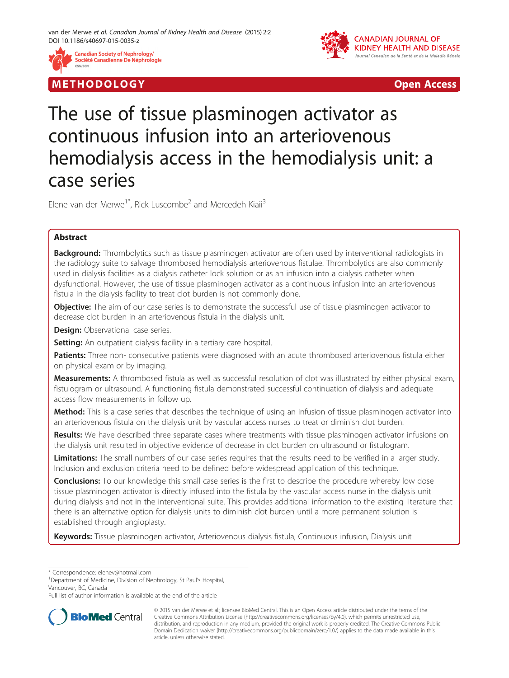

M E THODO L OGY Open Access



# The use of tissue plasminogen activator as continuous infusion into an arteriovenous hemodialysis access in the hemodialysis unit: a case series

Elene van der Merwe<sup>1\*</sup>, Rick Luscombe<sup>2</sup> and Mercedeh Kiaji<sup>3</sup>

# Abstract

**Background:** Thrombolytics such as tissue plasminogen activator are often used by interventional radiologists in the radiology suite to salvage thrombosed hemodialysis arteriovenous fistulae. Thrombolytics are also commonly used in dialysis facilities as a dialysis catheter lock solution or as an infusion into a dialysis catheter when dysfunctional. However, the use of tissue plasminogen activator as a continuous infusion into an arteriovenous fistula in the dialysis facility to treat clot burden is not commonly done.

**Objective:** The aim of our case series is to demonstrate the successful use of tissue plasminogen activator to decrease clot burden in an arteriovenous fistula in the dialysis unit.

**Design:** Observational case series.

Setting: An outpatient dialysis facility in a tertiary care hospital.

Patients: Three non- consecutive patients were diagnosed with an acute thrombosed arteriovenous fistula either on physical exam or by imaging.

Measurements: A thrombosed fistula as well as successful resolution of clot was illustrated by either physical exam, fistulogram or ultrasound. A functioning fistula demonstrated successful continuation of dialysis and adequate access flow measurements in follow up.

Method: This is a case series that describes the technique of using an infusion of tissue plasminogen activator into an arteriovenous fistula on the dialysis unit by vascular access nurses to treat or diminish clot burden.

Results: We have described three separate cases where treatments with tissue plasminogen activator infusions on the dialysis unit resulted in objective evidence of decrease in clot burden on ultrasound or fistulogram.

Limitations: The small numbers of our case series requires that the results need to be verified in a larger study. Inclusion and exclusion criteria need to be defined before widespread application of this technique.

**Conclusions:** To our knowledge this small case series is the first to describe the procedure whereby low dose tissue plasminogen activator is directly infused into the fistula by the vascular access nurse in the dialysis unit during dialysis and not in the interventional suite. This provides additional information to the existing literature that there is an alternative option for dialysis units to diminish clot burden until a more permanent solution is established through angioplasty.

Keywords: Tissue plasminogen activator, Arteriovenous dialysis fistula, Continuous infusion, Dialysis unit

\* Correspondence: [elenev@hotmail.com](mailto:elenev@hotmail.com) <sup>1</sup>

<sup>1</sup>Department of Medicine, Division of Nephrology, St Paul's Hospital, Vancouver, BC, Canada

Full list of author information is available at the end of the article



<sup>© 2015</sup> van der Merwe et al.; licensee BioMed Central. This is an Open Access article distributed under the terms of the Creative Commons Attribution License (<http://creativecommons.org/licenses/by/4.0>), which permits unrestricted use, distribution, and reproduction in any medium, provided the original work is properly credited. The Creative Commons Public Domain Dedication waiver [\(http://creativecommons.org/publicdomain/zero/1.0/\)](http://creativecommons.org/publicdomain/zero/1.0/) applies to the data made available in this article, unless otherwise stated.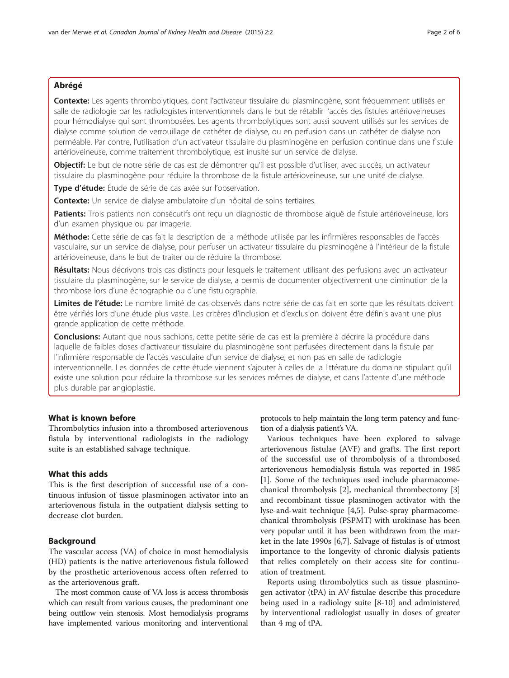# Abrégé

Contexte: Les agents thrombolytiques, dont l'activateur tissulaire du plasminogène, sont fréquemment utilisés en salle de radiologie par les radiologistes interventionnels dans le but de rétablir l'accès des fistules artérioveineuses pour hémodialyse qui sont thrombosées. Les agents thrombolytiques sont aussi souvent utilisés sur les services de dialyse comme solution de verrouillage de cathéter de dialyse, ou en perfusion dans un cathéter de dialyse non perméable. Par contre, l'utilisation d'un activateur tissulaire du plasminogène en perfusion continue dans une fistule artérioveineuse, comme traitement thrombolytique, est inusité sur un service de dialyse.

Obiectif: Le but de notre série de cas est de démontrer qu'il est possible d'utiliser, avec succès, un activateur tissulaire du plasminogène pour réduire la thrombose de la fistule artérioveineuse, sur une unité de dialyse.

Type d'étude: Étude de série de cas axée sur l'observation.

Contexte: Un service de dialyse ambulatoire d'un hôpital de soins tertiaires.

Patients: Trois patients non consécutifs ont reçu un diagnostic de thrombose aiguë de fistule artérioveineuse, lors d'un examen physique ou par imagerie.

Méthode: Cette série de cas fait la description de la méthode utilisée par les infirmières responsables de l'accès vasculaire, sur un service de dialyse, pour perfuser un activateur tissulaire du plasminogène à l'intérieur de la fistule artérioveineuse, dans le but de traiter ou de réduire la thrombose.

Résultats: Nous décrivons trois cas distincts pour lesquels le traitement utilisant des perfusions avec un activateur tissulaire du plasminogène, sur le service de dialyse, a permis de documenter objectivement une diminution de la thrombose lors d'une échographie ou d'une fistulographie.

Limites de l'étude: Le nombre limité de cas observés dans notre série de cas fait en sorte que les résultats doivent être vérifiés lors d'une étude plus vaste. Les critères d'inclusion et d'exclusion doivent être définis avant une plus grande application de cette méthode.

Conclusions: Autant que nous sachions, cette petite série de cas est la première à décrire la procédure dans laquelle de faibles doses d'activateur tissulaire du plasminogène sont perfusées directement dans la fistule par l'infirmière responsable de l'accès vasculaire d'un service de dialyse, et non pas en salle de radiologie interventionnelle. Les données de cette étude viennent s'ajouter à celles de la littérature du domaine stipulant qu'il existe une solution pour réduire la thrombose sur les services mêmes de dialyse, et dans l'attente d'une méthode plus durable par angioplastie.

## What is known before

Thrombolytics infusion into a thrombosed arteriovenous fistula by interventional radiologists in the radiology suite is an established salvage technique.

### What this adds

This is the first description of successful use of a continuous infusion of tissue plasminogen activator into an arteriovenous fistula in the outpatient dialysis setting to decrease clot burden.

## Background

The vascular access (VA) of choice in most hemodialysis (HD) patients is the native arteriovenous fistula followed by the prosthetic arteriovenous access often referred to as the arteriovenous graft.

The most common cause of VA loss is access thrombosis which can result from various causes, the predominant one being outflow vein stenosis. Most hemodialysis programs have implemented various monitoring and interventional

protocols to help maintain the long term patency and function of a dialysis patient's VA.

Various techniques have been explored to salvage arteriovenous fistulae (AVF) and grafts. The first report of the successful use of thrombolysis of a thrombosed arteriovenous hemodialysis fistula was reported in 1985 [[1\]](#page-5-0). Some of the techniques used include pharmacomechanical thrombolysis [[2\]](#page-5-0), mechanical thrombectomy [\[3](#page-5-0)] and recombinant tissue plasminogen activator with the lyse-and-wait technique [\[4,5](#page-5-0)]. Pulse-spray pharmacomechanical thrombolysis (PSPMT) with urokinase has been very popular until it has been withdrawn from the market in the late 1990s [[6,7\]](#page-5-0). Salvage of fistulas is of utmost importance to the longevity of chronic dialysis patients that relies completely on their access site for continuation of treatment.

Reports using thrombolytics such as tissue plasminogen activator (tPA) in AV fistulae describe this procedure being used in a radiology suite [\[8](#page-5-0)-[10\]](#page-5-0) and administered by interventional radiologist usually in doses of greater than 4 mg of tPA.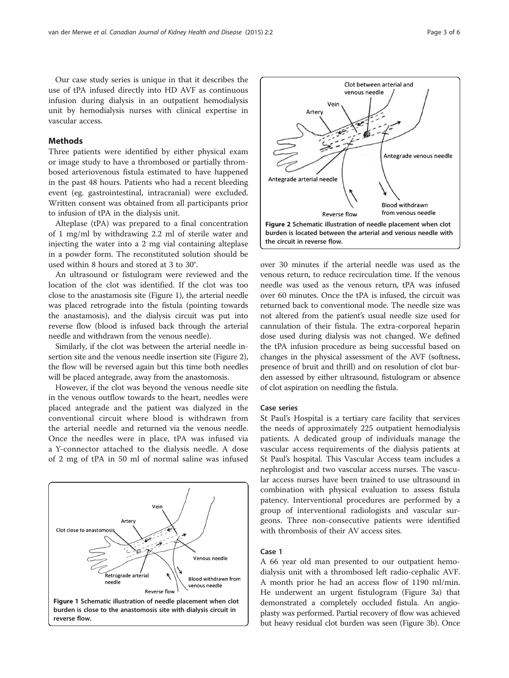Our case study series is unique in that it describes the use of tPA infused directly into HD AVF as continuous infusion during dialysis in an outpatient hemodialysis unit by hemodialysis nurses with clinical expertise in vascular access.

## **Methods**

Three patients were identified by either physical exam or image study to have a thrombosed or partially thrombosed arteriovenous fistula estimated to have happened in the past 48 hours. Patients who had a recent bleeding event (eg. gastrointestinal, intracranial) were excluded. Written consent was obtained from all participants prior to infusion of tPA in the dialysis unit.

Alteplase (tPA) was prepared to a final concentration of 1 mg/ml by withdrawing 2.2 ml of sterile water and injecting the water into a 2 mg vial containing alteplase in a powder form. The reconstituted solution should be used within 8 hours and stored at 3 to 30°.

An ultrasound or fistulogram were reviewed and the location of the clot was identified. If the clot was too close to the anastamosis site (Figure 1), the arterial needle was placed retrograde into the fistula (pointing towards the anastamosis), and the dialysis circuit was put into reverse flow (blood is infused back through the arterial needle and withdrawn from the venous needle).

Similarly, if the clot was between the arterial needle insertion site and the venous needle insertion site (Figure 2), the flow will be reversed again but this time both needles will be placed antegrade, away from the anastomosis.

However, if the clot was beyond the venous needle site in the venous outflow towards to the heart, needles were placed antegrade and the patient was dialyzed in the conventional circuit where blood is withdrawn from the arterial needle and returned via the venous needle. Once the needles were in place, tPA was infused via a Y-connector attached to the dialysis needle. A dose of 2 mg of tPA in 50 ml of normal saline was infused





over 30 minutes if the arterial needle was used as the venous return, to reduce recirculation time. If the venous needle was used as the venous return, tPA was infused over 60 minutes. Once the tPA is infused, the circuit was returned back to conventional mode. The needle size was not altered from the patient's usual needle size used for cannulation of their fistula. The extra-corporeal heparin dose used during dialysis was not changed. We defined the tPA infusion procedure as being successful based on changes in the physical assessment of the AVF (softness, presence of bruit and thrill) and on resolution of clot burden assessed by either ultrasound, fistulogram or absence of clot aspiration on needling the fistula.

### Case series

St Paul's Hospital is a tertiary care facility that services the needs of approximately 225 outpatient hemodialysis patients. A dedicated group of individuals manage the vascular access requirements of the dialysis patients at St Paul's hospital. This Vascular Access team includes a nephrologist and two vascular access nurses. The vascular access nurses have been trained to use ultrasound in combination with physical evaluation to assess fistula patency. Interventional procedures are performed by a group of interventional radiologists and vascular surgeons. Three non-consecutive patients were identified with thrombosis of their AV access sites.

## Case 1

A 66 year old man presented to our outpatient hemodialysis unit with a thrombosed left radio-cephalic AVF. A month prior he had an access flow of 1190 ml/min. He underwent an urgent fistulogram (Figure [3a](#page-3-0)) that demonstrated a completely occluded fistula. An angioplasty was performed. Partial recovery of flow was achieved but heavy residual clot burden was seen (Figure [3b](#page-3-0)). Once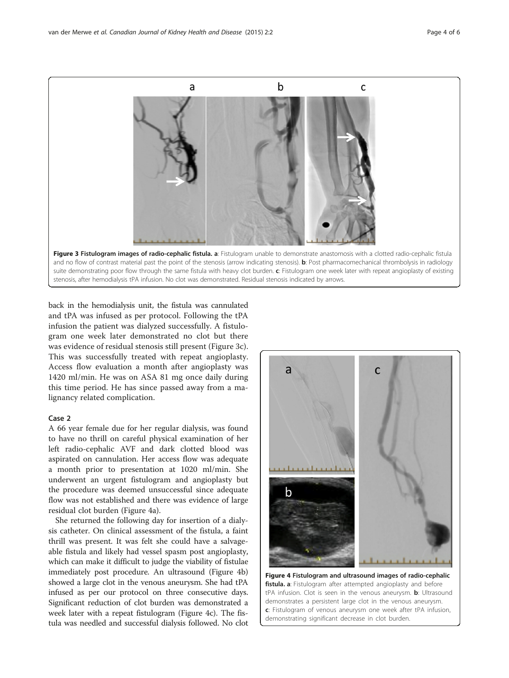<span id="page-3-0"></span>

back in the hemodialysis unit, the fistula was cannulated and tPA was infused as per protocol. Following the tPA infusion the patient was dialyzed successfully. A fistulogram one week later demonstrated no clot but there was evidence of residual stenosis still present (Figure 3c). This was successfully treated with repeat angioplasty. Access flow evaluation a month after angioplasty was 1420 ml/min. He was on ASA 81 mg once daily during this time period. He has since passed away from a malignancy related complication.

## Case 2

A 66 year female due for her regular dialysis, was found to have no thrill on careful physical examination of her left radio-cephalic AVF and dark clotted blood was aspirated on cannulation. Her access flow was adequate a month prior to presentation at 1020 ml/min. She underwent an urgent fistulogram and angioplasty but the procedure was deemed unsuccessful since adequate flow was not established and there was evidence of large residual clot burden (Figure 4a).

She returned the following day for insertion of a dialysis catheter. On clinical assessment of the fistula, a faint thrill was present. It was felt she could have a salvageable fistula and likely had vessel spasm post angioplasty, which can make it difficult to judge the viability of fistulae immediately post procedure. An ultrasound (Figure 4b) showed a large clot in the venous aneurysm. She had tPA infused as per our protocol on three consecutive days. Significant reduction of clot burden was demonstrated a week later with a repeat fistulogram (Figure 4c). The fistula was needled and successful dialysis followed. No clot



Figure 4 Fistulogram and ultrasound images of radio-cephalic fistula. a: Fistulogram after attempted angioplasty and before tPA infusion. Clot is seen in the venous aneurysm. **b**: Ultrasound demonstrates a persistent large clot in the venous aneurysm. c: Fistulogram of venous aneurysm one week after tPA infusion, demonstrating significant decrease in clot burden.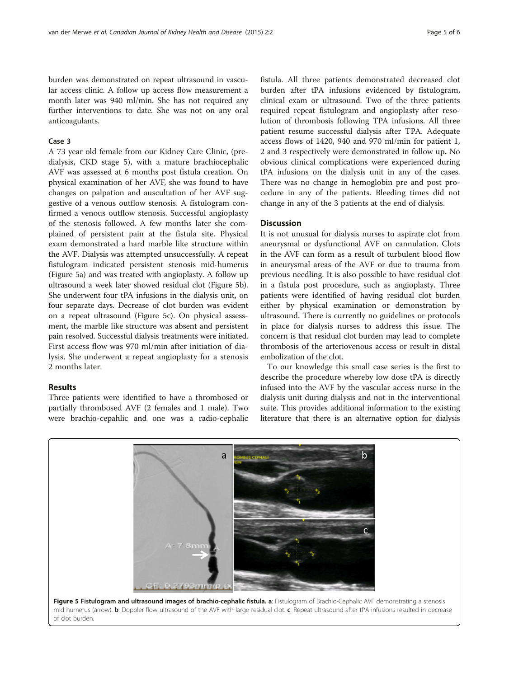burden was demonstrated on repeat ultrasound in vascular access clinic. A follow up access flow measurement a month later was 940 ml/min. She has not required any further interventions to date. She was not on any oral anticoagulants.

#### Case 3

A 73 year old female from our Kidney Care Clinic, (predialysis, CKD stage 5), with a mature brachiocephalic AVF was assessed at 6 months post fistula creation. On physical examination of her AVF, she was found to have changes on palpation and auscultation of her AVF suggestive of a venous outflow stenosis. A fistulogram confirmed a venous outflow stenosis. Successful angioplasty of the stenosis followed. A few months later she complained of persistent pain at the fistula site. Physical exam demonstrated a hard marble like structure within the AVF. Dialysis was attempted unsuccessfully. A repeat fistulogram indicated persistent stenosis mid-humerus (Figure 5a) and was treated with angioplasty. A follow up ultrasound a week later showed residual clot (Figure 5b). She underwent four tPA infusions in the dialysis unit, on four separate days. Decrease of clot burden was evident on a repeat ultrasound (Figure 5c). On physical assessment, the marble like structure was absent and persistent pain resolved. Successful dialysis treatments were initiated. First access flow was 970 ml/min after initiation of dialysis. She underwent a repeat angioplasty for a stenosis 2 months later.

#### Results

Three patients were identified to have a thrombosed or partially thrombosed AVF (2 females and 1 male). Two were brachio-cepahlic and one was a radio-cephalic

fistula. All three patients demonstrated decreased clot burden after tPA infusions evidenced by fistulogram, clinical exam or ultrasound. Two of the three patients required repeat fistulogram and angioplasty after resolution of thrombosis following TPA infusions. All three patient resume successful dialysis after TPA. Adequate access flows of 1420, 940 and 970 ml/min for patient 1, 2 and 3 respectively were demonstrated in follow up. No obvious clinical complications were experienced during tPA infusions on the dialysis unit in any of the cases. There was no change in hemoglobin pre and post procedure in any of the patients. Bleeding times did not change in any of the 3 patients at the end of dialysis.

## **Discussion**

It is not unusual for dialysis nurses to aspirate clot from aneurysmal or dysfunctional AVF on cannulation. Clots in the AVF can form as a result of turbulent blood flow in aneurysmal areas of the AVF or due to trauma from previous needling. It is also possible to have residual clot in a fistula post procedure, such as angioplasty. Three patients were identified of having residual clot burden either by physical examination or demonstration by ultrasound. There is currently no guidelines or protocols in place for dialysis nurses to address this issue. The concern is that residual clot burden may lead to complete thrombosis of the arteriovenous access or result in distal embolization of the clot.

To our knowledge this small case series is the first to describe the procedure whereby low dose tPA is directly infused into the AVF by the vascular access nurse in the dialysis unit during dialysis and not in the interventional suite. This provides additional information to the existing literature that there is an alternative option for dialysis